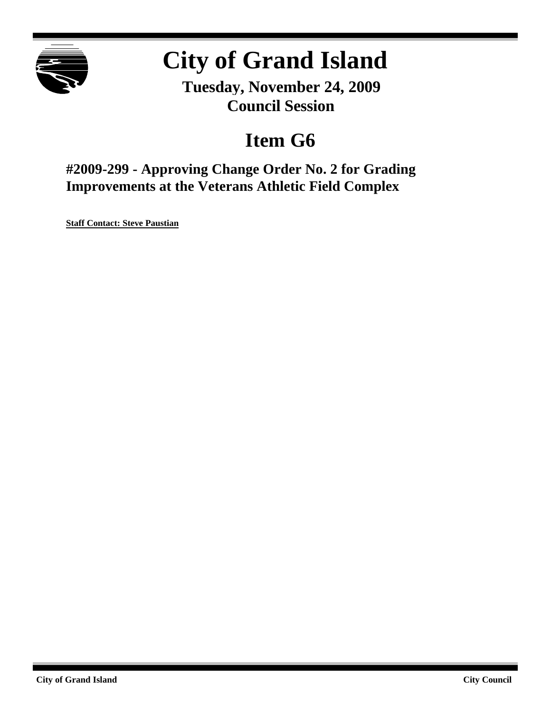

# **City of Grand Island**

**Tuesday, November 24, 2009 Council Session**

## **Item G6**

**#2009-299 - Approving Change Order No. 2 for Grading Improvements at the Veterans Athletic Field Complex**

**Staff Contact: Steve Paustian**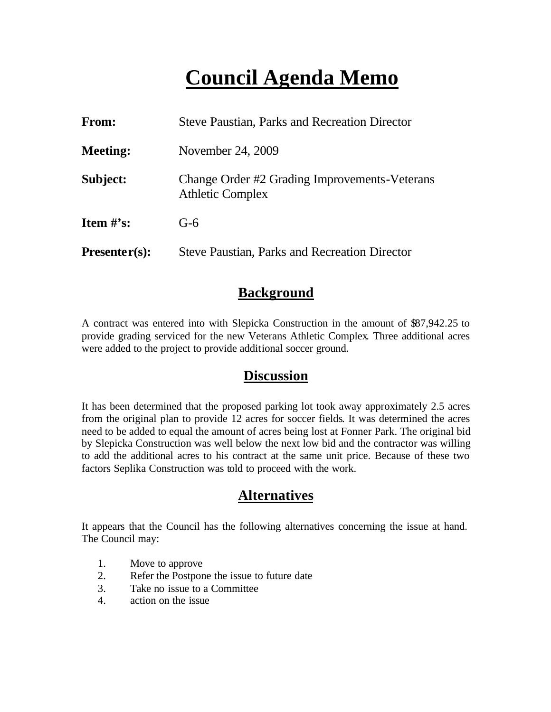## **Council Agenda Memo**

| From:           | <b>Steve Paustian, Parks and Recreation Director</b>                     |  |
|-----------------|--------------------------------------------------------------------------|--|
| <b>Meeting:</b> | November 24, 2009                                                        |  |
| Subject:        | Change Order #2 Grading Improvements-Veterans<br><b>Athletic Complex</b> |  |
| Item $\#$ 's:   | $G-6$                                                                    |  |
| $Presenter(s):$ | <b>Steve Paustian, Parks and Recreation Director</b>                     |  |

### **Background**

A contract was entered into with Slepicka Construction in the amount of \$87,942.25 to provide grading serviced for the new Veterans Athletic Complex. Three additional acres were added to the project to provide additional soccer ground.

#### **Discussion**

It has been determined that the proposed parking lot took away approximately 2.5 acres from the original plan to provide 12 acres for soccer fields. It was determined the acres need to be added to equal the amount of acres being lost at Fonner Park. The original bid by Slepicka Construction was well below the next low bid and the contractor was willing to add the additional acres to his contract at the same unit price. Because of these two factors Seplika Construction was told to proceed with the work.

### **Alternatives**

It appears that the Council has the following alternatives concerning the issue at hand. The Council may:

- 1. Move to approve
- 2. Refer the Postpone the issue to future date
- 3. Take no issue to a Committee
- 4. action on the issue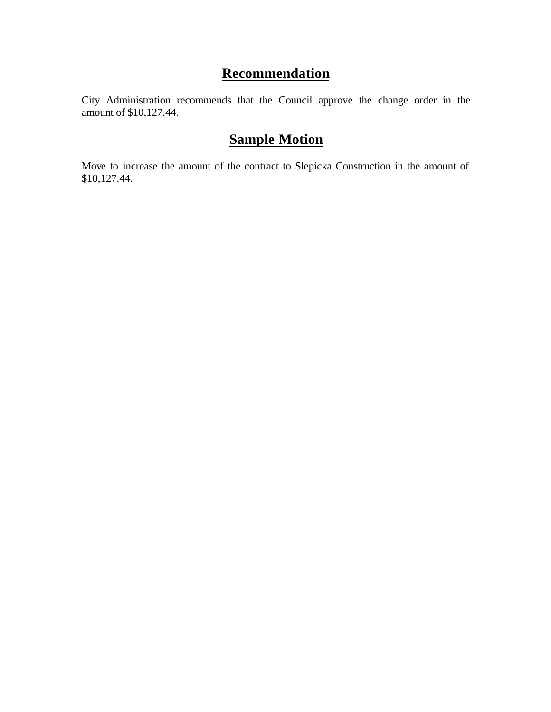## **Recommendation**

City Administration recommends that the Council approve the change order in the amount of \$10,127.44.

## **Sample Motion**

Move to increase the amount of the contract to Slepicka Construction in the amount of \$10,127.44.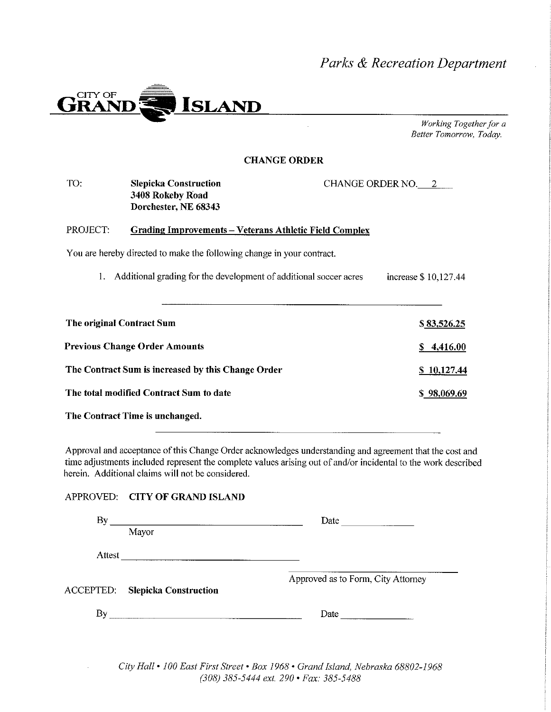### Parks & Recreation Department



Working Together for a Better Tomorrow, Today.

#### **CHANGE ORDER**

| TO:                       | Slepicka Construction<br>3408 Rokeby Road<br>Dorchester, NE 68343      | CHANGE ORDER NO. 2   |
|---------------------------|------------------------------------------------------------------------|----------------------|
| PROJECT:                  | <b>Grading Improvements – Veterans Athletic Field Complex</b>          |                      |
|                           | You are hereby directed to make the following change in your contract. |                      |
|                           | Additional grading for the development of additional soccer acres      | increase \$10,127.44 |
|                           |                                                                        |                      |
| The original Contract Sum |                                                                        | \$83,526.25          |
|                           | <b>Previous Change Order Amounts</b>                                   | \$4,416.00           |
|                           | The Contract Sum is increased by this Change Order                     | \$10,127.44          |
|                           | The total modified Contract Sum to date                                | \$ 98,069.69         |
|                           | The Contract Time is unchanged.                                        |                      |

Approval and acceptance of this Change Order acknowledges understanding and agreement that the cost and time adjustments included represent the complete values arising out of and/or incidental to the work described herein. Additional claims will not be considered.

#### APPROVED: CITY OF GRAND ISLAND

| By           |                                        | Date                               |
|--------------|----------------------------------------|------------------------------------|
|              | Mayor                                  |                                    |
| Attest       |                                        |                                    |
|              | <b>ACCEPTED:</b> Slepicka Construction | Approved as to Form, City Attorney |
| $\mathbf{B}$ |                                        | Date                               |

City Hall . 100 East First Street . Box 1968 . Grand Island, Nebraska 68802-1968 (308) 385-5444 ext. 290 · Fax: 385-5488